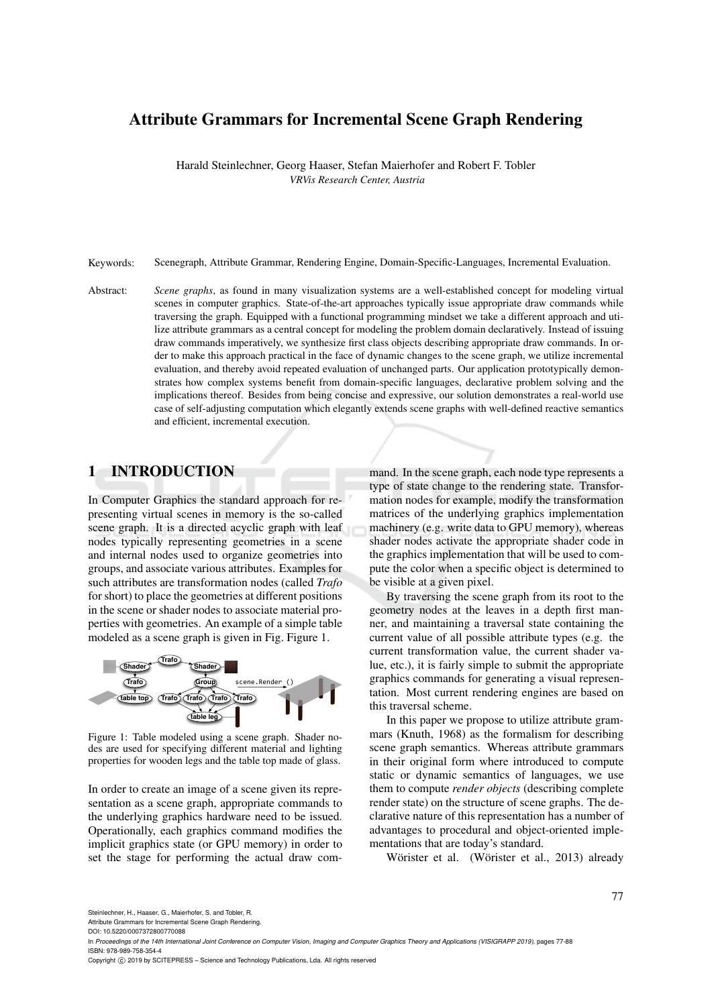# Attribute Grammars for Incremental Scene Graph Rendering

Harald Steinlechner, Georg Haaser, Stefan Maierhofer and Robert F. Tobler *VRVis Research Center, Austria*

Keywords: Scenegraph, Attribute Grammar, Rendering Engine, Domain-Specific-Languages, Incremental Evaluation.

Abstract: *Scene graphs*, as found in many visualization systems are a well-established concept for modeling virtual scenes in computer graphics. State-of-the-art approaches typically issue appropriate draw commands while traversing the graph. Equipped with a functional programming mindset we take a different approach and utilize attribute grammars as a central concept for modeling the problem domain declaratively. Instead of issuing draw commands imperatively, we synthesize first class objects describing appropriate draw commands. In order to make this approach practical in the face of dynamic changes to the scene graph, we utilize incremental evaluation, and thereby avoid repeated evaluation of unchanged parts. Our application prototypically demonstrates how complex systems benefit from domain-specific languages, declarative problem solving and the implications thereof. Besides from being concise and expressive, our solution demonstrates a real-world use case of self-adjusting computation which elegantly extends scene graphs with well-defined reactive semantics and efficient, incremental execution.

# 1 INTRODUCTION

In Computer Graphics the standard approach for representing virtual scenes in memory is the so-called scene graph. It is a directed acyclic graph with leaf nodes typically representing geometries in a scene and internal nodes used to organize geometries into groups, and associate various attributes. Examples for such attributes are transformation nodes (called *Trafo* for short) to place the geometries at different positions in the scene or shader nodes to associate material properties with geometries. An example of a simple table modeled as a scene graph is given in Fig. Figure 1.



Figure 1: Table modeled using a scene graph. Shader nodes are used for specifying different material and lighting properties for wooden legs and the table top made of glass.

In order to create an image of a scene given its representation as a scene graph, appropriate commands to the underlying graphics hardware need to be issued. Operationally, each graphics command modifies the implicit graphics state (or GPU memory) in order to set the stage for performing the actual draw command. In the scene graph, each node type represents a type of state change to the rendering state. Transformation nodes for example, modify the transformation matrices of the underlying graphics implementation machinery (e.g. write data to GPU memory), whereas shader nodes activate the appropriate shader code in the graphics implementation that will be used to compute the color when a specific object is determined to be visible at a given pixel.

By traversing the scene graph from its root to the geometry nodes at the leaves in a depth first manner, and maintaining a traversal state containing the current value of all possible attribute types (e.g. the current transformation value, the current shader value, etc.), it is fairly simple to submit the appropriate graphics commands for generating a visual representation. Most current rendering engines are based on this traversal scheme.

In this paper we propose to utilize attribute grammars (Knuth, 1968) as the formalism for describing scene graph semantics. Whereas attribute grammars in their original form where introduced to compute static or dynamic semantics of languages, we use them to compute *render objects* (describing complete render state) on the structure of scene graphs. The declarative nature of this representation has a number of advantages to procedural and object-oriented implementations that are today's standard.

Wörister et al. (Wörister et al., 2013) already

Steinlechner, H., Haaser, G., Maierhofer, S. and Tobler, R.

Attribute Grammars for Incremental Scene Graph Rendering.

DOI: 10.5220/0007372800770088

In *Proceedings of the 14th International Joint Conference on Computer Vision, Imaging and Computer Graphics Theory and Applications (VISIGRAPP 2019)*, pages 77-88 ISBN: 978-989-758-354-4

Copyright (C) 2019 by SCITEPRESS - Science and Technology Publications, Lda. All rights reserved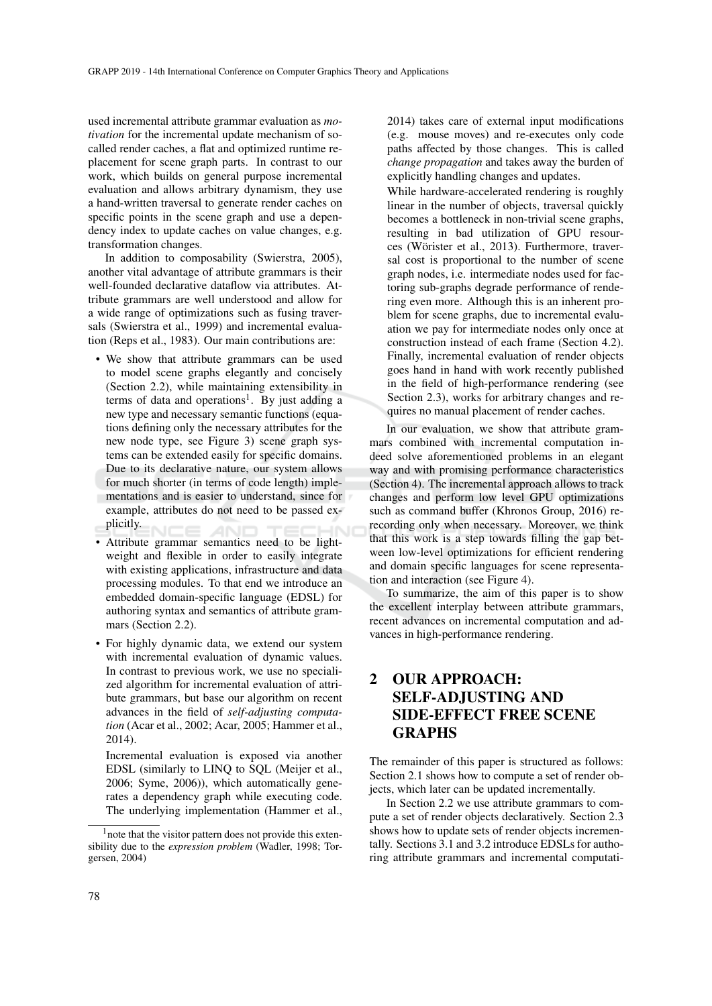used incremental attribute grammar evaluation as *motivation* for the incremental update mechanism of socalled render caches, a flat and optimized runtime replacement for scene graph parts. In contrast to our work, which builds on general purpose incremental evaluation and allows arbitrary dynamism, they use a hand-written traversal to generate render caches on specific points in the scene graph and use a dependency index to update caches on value changes, e.g. transformation changes.

In addition to composability (Swierstra, 2005), another vital advantage of attribute grammars is their well-founded declarative dataflow via attributes. Attribute grammars are well understood and allow for a wide range of optimizations such as fusing traversals (Swierstra et al., 1999) and incremental evaluation (Reps et al., 1983). Our main contributions are:

- We show that attribute grammars can be used to model scene graphs elegantly and concisely (Section 2.2), while maintaining extensibility in terms of data and operations<sup>1</sup>. By just adding a new type and necessary semantic functions (equations defining only the necessary attributes for the new node type, see Figure 3) scene graph systems can be extended easily for specific domains. Due to its declarative nature, our system allows for much shorter (in terms of code length) implementations and is easier to understand, since for example, attributes do not need to be passed explicitly. AN
- Attribute grammar semantics need to be lightweight and flexible in order to easily integrate with existing applications, infrastructure and data processing modules. To that end we introduce an embedded domain-specific language (EDSL) for authoring syntax and semantics of attribute grammars (Section 2.2).
- For highly dynamic data, we extend our system with incremental evaluation of dynamic values. In contrast to previous work, we use no specialized algorithm for incremental evaluation of attribute grammars, but base our algorithm on recent advances in the field of *self-adjusting computation* (Acar et al., 2002; Acar, 2005; Hammer et al., 2014).

Incremental evaluation is exposed via another EDSL (similarly to LINQ to SQL (Meijer et al., 2006; Syme, 2006)), which automatically generates a dependency graph while executing code. The underlying implementation (Hammer et al.,

2014) takes care of external input modifications (e.g. mouse moves) and re-executes only code paths affected by those changes. This is called *change propagation* and takes away the burden of explicitly handling changes and updates.

While hardware-accelerated rendering is roughly linear in the number of objects, traversal quickly becomes a bottleneck in non-trivial scene graphs, resulting in bad utilization of GPU resources (Wörister et al., 2013). Furthermore, traversal cost is proportional to the number of scene graph nodes, i.e. intermediate nodes used for factoring sub-graphs degrade performance of rendering even more. Although this is an inherent problem for scene graphs, due to incremental evaluation we pay for intermediate nodes only once at construction instead of each frame (Section 4.2). Finally, incremental evaluation of render objects goes hand in hand with work recently published in the field of high-performance rendering (see Section 2.3), works for arbitrary changes and requires no manual placement of render caches.

In our evaluation, we show that attribute grammars combined with incremental computation indeed solve aforementioned problems in an elegant way and with promising performance characteristics (Section 4). The incremental approach allows to track changes and perform low level GPU optimizations such as command buffer (Khronos Group, 2016) rerecording only when necessary. Moreover, we think that this work is a step towards filling the gap between low-level optimizations for efficient rendering and domain specific languages for scene representation and interaction (see Figure 4).

To summarize, the aim of this paper is to show the excellent interplay between attribute grammars, recent advances on incremental computation and advances in high-performance rendering.

# 2 OUR APPROACH: SELF-ADJUSTING AND SIDE-EFFECT FREE SCENE GRAPHS

The remainder of this paper is structured as follows: Section 2.1 shows how to compute a set of render objects, which later can be updated incrementally.

In Section 2.2 we use attribute grammars to compute a set of render objects declaratively. Section 2.3 shows how to update sets of render objects incrementally. Sections 3.1 and 3.2 introduce EDSLs for authoring attribute grammars and incremental computati-

<sup>&</sup>lt;sup>1</sup> note that the visitor pattern does not provide this extensibility due to the *expression problem* (Wadler, 1998; Torgersen, 2004)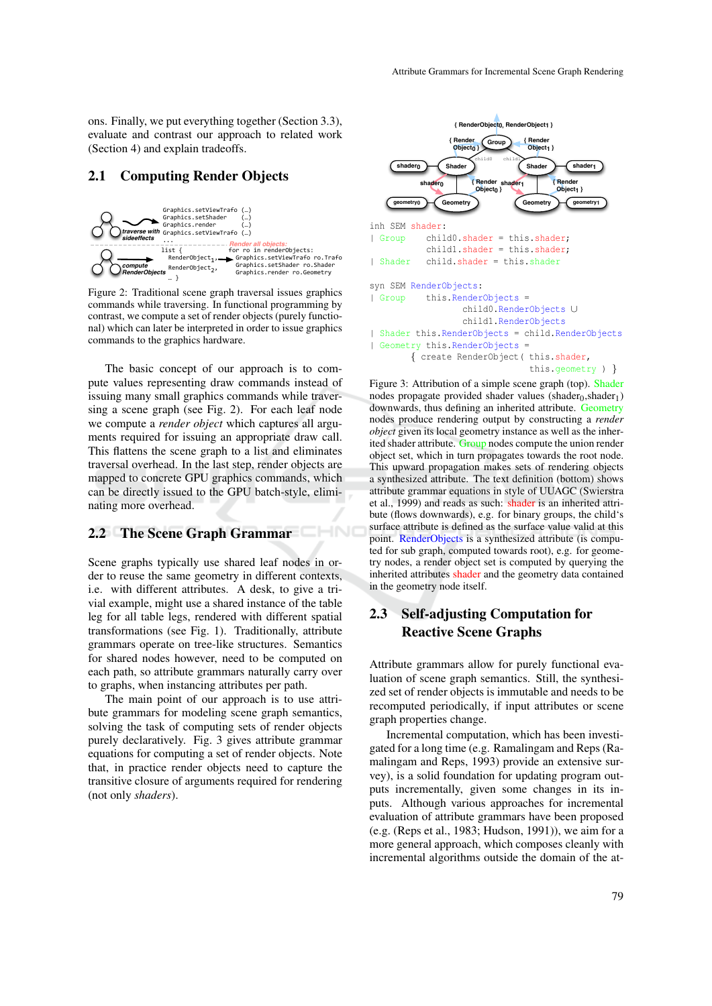ons. Finally, we put everything together (Section 3.3), evaluate and contrast our approach to related work (Section 4) and explain tradeoffs.

### 2.1 Computing Render Objects



Figure 2: Traditional scene graph traversal issues graphics commands while traversing. In functional programming by contrast, we compute a set of render objects (purely functional) which can later be interpreted in order to issue graphics commands to the graphics hardware.

The basic concept of our approach is to compute values representing draw commands instead of issuing many small graphics commands while traversing a scene graph (see Fig. 2). For each leaf node we compute a *render object* which captures all arguments required for issuing an appropriate draw call. This flattens the scene graph to a list and eliminates traversal overhead. In the last step, render objects are mapped to concrete GPU graphics commands, which can be directly issued to the GPU batch-style, eliminating more overhead. (Section 4) and explain tradectifs.<br>
2.1 **Computing Render Objects**<br>
2.1 **Computing Render Objects**<br>
2.1 **Computing Render Objects**<br>
2.1 **Computing Render Objects**<br>
2.1 **Computing Render Objects**<br>
2.1 **Computing Render Ob** 

# 2.2 The Scene Graph Grammar

Scene graphs typically use shared leaf nodes in order to reuse the same geometry in different contexts, i.e. with different attributes. A desk, to give a trivial example, might use a shared instance of the table leg for all table legs, rendered with different spatial transformations (see Fig. 1). Traditionally, attribute grammars operate on tree-like structures. Semantics for shared nodes however, need to be computed on each path, so attribute grammars naturally carry over to graphs, when instancing attributes per path.

The main point of our approach is to use attribute grammars for modeling scene graph semantics, solving the task of computing sets of render objects purely declaratively. Fig. 3 gives attribute grammar equations for computing a set of render objects. Note that, in practice render objects need to capture the transitive closure of arguments required for rendering



Figure 3: Attribution of a simple scene graph (top). Shader nodes propagate provided shader values (shader $_0$ , shader<sub>1</sub>) downwards, thus defining an inherited attribute. Geometry nodes produce rendering output by constructing a *render object* given its local geometry instance as well as the inherited shader attribute. Group nodes compute the union render object set, which in turn propagates towards the root node. This upward propagation makes sets of rendering objects a synthesized attribute. The text definition (bottom) shows attribute grammar equations in style of UUAGC (Swierstra et al., 1999) and reads as such: shader is an inherited attribute (flows downwards), e.g. for binary groups, the child's surface attribute is defined as the surface value valid at this point. RenderObjects is a synthesized attribute (is computed for sub graph, computed towards root), e.g. for geometry nodes, a render object set is computed by querying the inherited attributes shader and the geometry data contained in the geometry node itself.

# 2.3 Self-adjusting Computation for Reactive Scene Graphs

Attribute grammars allow for purely functional evaluation of scene graph semantics. Still, the synthesized set of render objects is immutable and needs to be recomputed periodically, if input attributes or scene graph properties change.

Incremental computation, which has been investigated for a long time (e.g. Ramalingam and Reps (Ramalingam and Reps, 1993) provide an extensive survey), is a solid foundation for updating program outputs incrementally, given some changes in its inputs. Although various approaches for incremental evaluation of attribute grammars have been proposed (e.g. (Reps et al., 1983; Hudson, 1991)), we aim for a more general approach, which composes cleanly with incremental algorithms outside the domain of the at-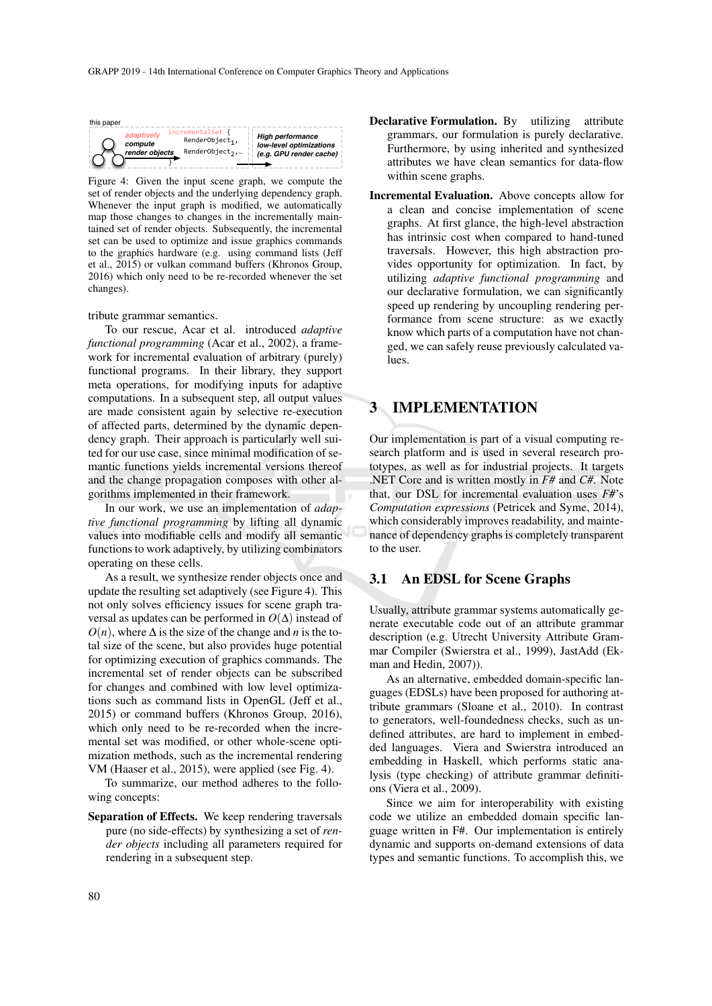| this paper |                |                   |                         |
|------------|----------------|-------------------|-------------------------|
|            | adaptively     | incrementalSet {  | <b>High performance</b> |
|            | compute        | $RenderObject1$ , | low-level optimizations |
|            | render objects | RenderObject,,    | (e.g. GPU render cache) |

Figure 4: Given the input scene graph, we compute the set of render objects and the underlying dependency graph. Whenever the input graph is modified, we automatically map those changes to changes in the incrementally maintained set of render objects. Subsequently, the incremental set can be used to optimize and issue graphics commands to the graphics hardware (e.g. using command lists (Jeff et al., 2015) or vulkan command buffers (Khronos Group, 2016) which only need to be re-recorded whenever the set changes).

tribute grammar semantics.

To our rescue, Acar et al. introduced *adaptive functional programming* (Acar et al., 2002), a framework for incremental evaluation of arbitrary (purely) functional programs. In their library, they support meta operations, for modifying inputs for adaptive computations. In a subsequent step, all output values are made consistent again by selective re-execution of affected parts, determined by the dynamic dependency graph. Their approach is particularly well suited for our use case, since minimal modification of semantic functions yields incremental versions thereof and the change propagation composes with other algorithms implemented in their framework.

In our work, we use an implementation of *adaptive functional programming* by lifting all dynamic values into modifiable cells and modify all semantic functions to work adaptively, by utilizing combinators operating on these cells.

As a result, we synthesize render objects once and update the resulting set adaptively (see Figure 4). This not only solves efficiency issues for scene graph traversal as updates can be performed in  $O(\Delta)$  instead of  $O(n)$ , where  $\Delta$  is the size of the change and *n* is the total size of the scene, but also provides huge potential for optimizing execution of graphics commands. The incremental set of render objects can be subscribed for changes and combined with low level optimizations such as command lists in OpenGL (Jeff et al., 2015) or command buffers (Khronos Group, 2016), which only need to be re-recorded when the incremental set was modified, or other whole-scene optimization methods, such as the incremental rendering VM (Haaser et al., 2015), were applied (see Fig. 4).

To summarize, our method adheres to the following concepts:

Separation of Effects. We keep rendering traversals pure (no side-effects) by synthesizing a set of *render objects* including all parameters required for rendering in a subsequent step.

- Declarative Formulation. By utilizing attribute grammars, our formulation is purely declarative. Furthermore, by using inherited and synthesized attributes we have clean semantics for data-flow within scene graphs.
- Incremental Evaluation. Above concepts allow for a clean and concise implementation of scene graphs. At first glance, the high-level abstraction has intrinsic cost when compared to hand-tuned traversals. However, this high abstraction provides opportunity for optimization. In fact, by utilizing *adaptive functional programming* and our declarative formulation, we can significantly speed up rendering by uncoupling rendering performance from scene structure: as we exactly know which parts of a computation have not changed, we can safely reuse previously calculated values.

## **IMPLEMENTATION**

Our implementation is part of a visual computing research platform and is used in several research prototypes, as well as for industrial projects. It targets .NET Core and is written mostly in *F#* and *C#*. Note that, our DSL for incremental evaluation uses *F#*'s *Computation expressions* (Petricek and Syme, 2014), which considerably improves readability, and maintenance of dependency graphs is completely transparent to the user.

#### 3.1 An EDSL for Scene Graphs

Usually, attribute grammar systems automatically generate executable code out of an attribute grammar description (e.g. Utrecht University Attribute Grammar Compiler (Swierstra et al., 1999), JastAdd (Ekman and Hedin, 2007)).

As an alternative, embedded domain-specific languages (EDSLs) have been proposed for authoring attribute grammars (Sloane et al., 2010). In contrast to generators, well-foundedness checks, such as undefined attributes, are hard to implement in embedded languages. Viera and Swierstra introduced an embedding in Haskell, which performs static analysis (type checking) of attribute grammar definitions (Viera et al., 2009).

Since we aim for interoperability with existing code we utilize an embedded domain specific language written in F#. Our implementation is entirely dynamic and supports on-demand extensions of data types and semantic functions. To accomplish this, we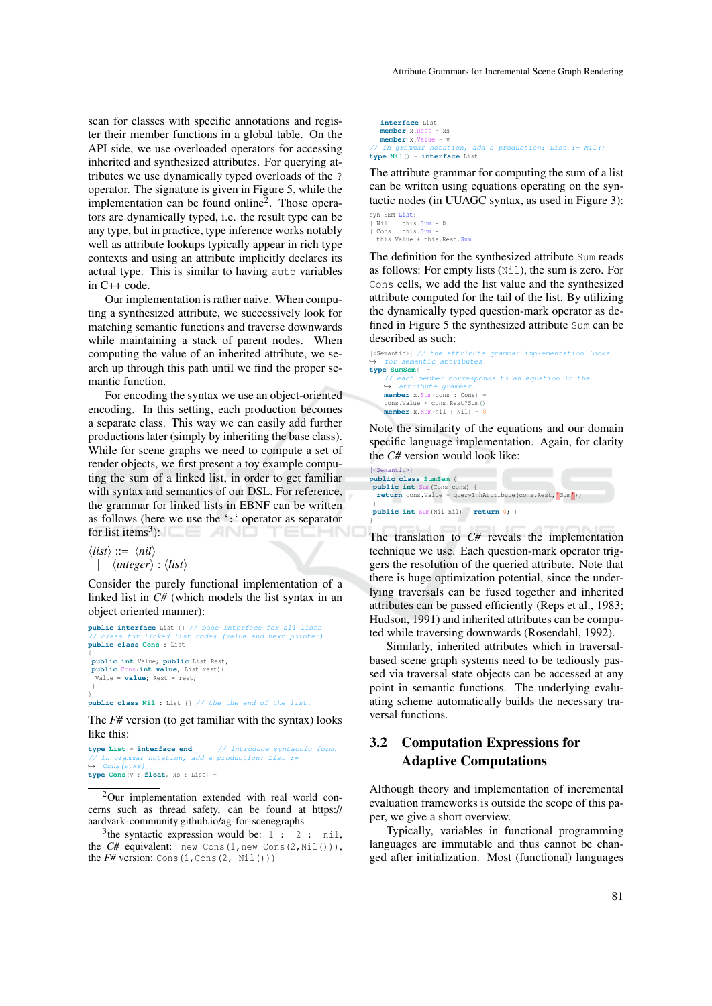scan for classes with specific annotations and register their member functions in a global table. On the API side, we use overloaded operators for accessing inherited and synthesized attributes. For querying attributes we use dynamically typed overloads of the ? operator. The signature is given in Figure 5, while the implementation can be found online<sup>2</sup>. Those operators are dynamically typed, i.e. the result type can be any type, but in practice, type inference works notably well as attribute lookups typically appear in rich type contexts and using an attribute implicitly declares its actual type. This is similar to having auto variables in C++ code.

Our implementation is rather naive. When computing a synthesized attribute, we successively look for matching semantic functions and traverse downwards while maintaining a stack of parent nodes. When computing the value of an inherited attribute, we search up through this path until we find the proper semantic function.

For encoding the syntax we use an object-oriented encoding. In this setting, each production becomes a separate class. This way we can easily add further productions later (simply by inheriting the base class). While for scene graphs we need to compute a set of render objects, we first present a toy example computing the sum of a linked list, in order to get familiar with syntax and semantics of our DSL. For reference, the grammar for linked lists in EBNF can be written as follows (here we use the ':' operator as separator for list items<sup>3</sup>): TECHN

```
\langle list \rangle ::= \langle nil \rangle| \langleinteger\rangle : \langlelist\rangle
```
Consider the purely functional implementation of a linked list in *C#* (which models the list syntax in an object oriented manner):

```
public interface List {} // base interface for all lists
// class for linked list nodes (value and next pointer)
public class Cons : List
{
public int Value; public List Rest;
public Cons(int value, List rest){
 Value = value; Rest = rest;
 }
}
public class Nil : List {} // the the end of the list.
```
The *F#* version (to get familiar with the syntax) looks like this:

```
type List = interface end // introduce syntactic form.
   \int in grammar notation, add a production: List :=
\leftrightarrow Cons(v, xs)
type Cons(v : float, xs : List) =
```
<sup>2</sup>Our implementation extended with real world concerns such as thread safety, can be found at https:// aardvark-community.github.io/ag-for-scenegraphs

<sup>3</sup> the syntactic expression would be:  $1 : 2 :$  nil, the *C#* equivalent: new Cons(1,new Cons(2,Nil())), the  $F#$  version: Cons(1, Cons(2, Nil()))

**interface** List **member** x.Rest = xs **member** x.Value = v add a production: List := Nil() **type Nil**() = **interface** List

The attribute grammar for computing the sum of a list can be written using equations operating on the syntactic nodes (in UUAGC syntax, as used in Figure 3):

syn SEM List: | Nil this.Sum = 0<br>| Cons this.Sum = this.Value + this.Rest.Sum

}

The definition for the synthesized attribute Sum reads as follows: For empty lists (Nil), the sum is zero. For Cons cells, we add the list value and the synthesized attribute computed for the tail of the list. By utilizing the dynamically typed question-mark operator as defined in Figure 5 the synthesized attribute Sum can be described as such:

```
[<Semantic>] // the attribute grammar implementation looks
              \frac{1}{2}, \frac{1}{2} antic attributes
type SumSem() =
    // each member corresponds to an equation in the \leftrightarrow attribute grammar.
    member x.Sum(cons : Cons) =
    cons.Value + cons.Rest?Sum()
    member x.Sum(nil : Nil) =
```
Note the similarity of the equations and our domain specific language implementation. Again, for clarity the *C#* version would look like:

```
mathic)
public class SumSem {
public int Sum(Cons cons) {
  return cons.Value + queryInhAttribute(cons.Rest, 'Sum');
 }
public int Sum(Nil nil) { return 0; }
```
The translation to *C#* reveals the implementation technique we use. Each question-mark operator triggers the resolution of the queried attribute. Note that there is huge optimization potential, since the underlying traversals can be fused together and inherited attributes can be passed efficiently (Reps et al., 1983; Hudson, 1991) and inherited attributes can be computed while traversing downwards (Rosendahl, 1992).

Similarly, inherited attributes which in traversalbased scene graph systems need to be tediously passed via traversal state objects can be accessed at any point in semantic functions. The underlying evaluating scheme automatically builds the necessary traversal functions.

# 3.2 Computation Expressions for Adaptive Computations

Although theory and implementation of incremental evaluation frameworks is outside the scope of this paper, we give a short overview.

Typically, variables in functional programming languages are immutable and thus cannot be changed after initialization. Most (functional) languages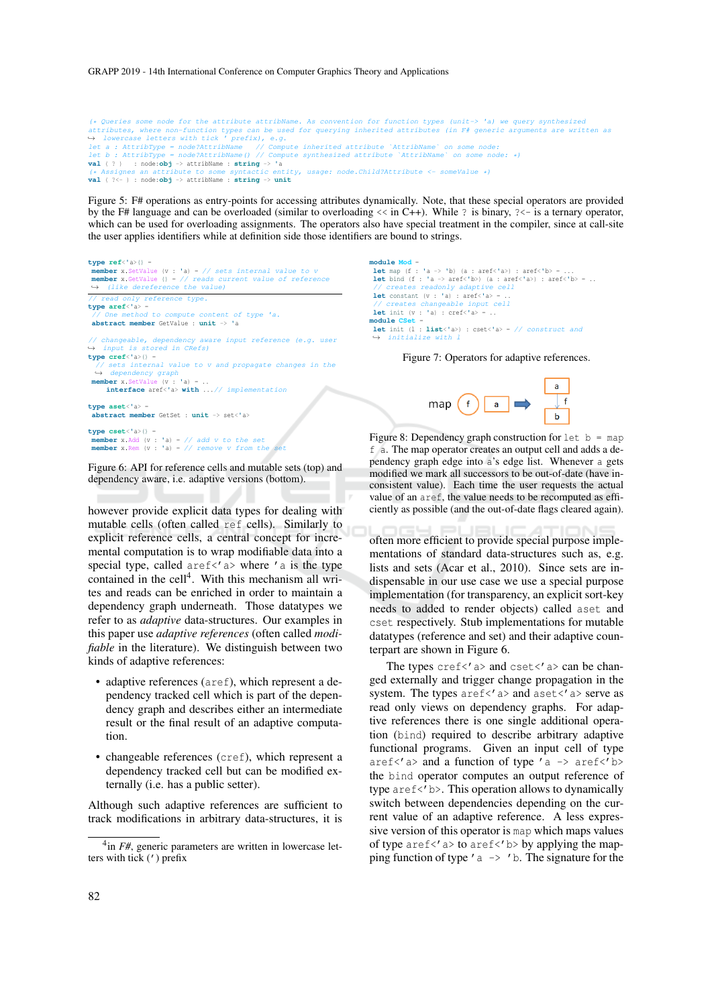(\* Queries some node for the attribute attribName. As convention for function types (unit-> 'a) we query synthesized attributes, where non-function types can be used for querying inherited attributes (in F# generic arguments are written as<br>→ lowercase letters with tick ' prefix), e.g. let a : AttribType = node?AttribName // Compute inherited attribute `AttribName` on some node: let b : AttribType = node?AttribName() // Compute synthesized attribute `AttribName` on some node: \*) **val** ( ? ) : node:**obj** -> attribName : **string** -> **'**a -- attribus<sub>ane</sub> . **sting** - a<br>bute to some syntactic entity, usage: node.Child?Attribute <- someValue \*) **val** ( ?<- ) : node:**obj** -> attribName : **string** -> **unit**

Figure 5: F# operations as entry-points for accessing attributes dynamically. Note, that these special operators are provided by the F# language and can be overloaded (similar to overloading  $\langle \cdot \rangle$  in C++). While ? is binary,  $\langle \cdot \rangle$  is a ternary operator, which can be used for overloading assignments. The operators also have special treatment in the compiler, since at call-site the user applies identifiers while at definition side those identifiers are bound to strings.

```
type ref<'a>() =
 member x.SetValue (v : 'a) = // sets internal value to v<br>member x.GetValue () = // reads current value of reference<br>→ (like dereference the value)
               \frac{1}{\sqrt{2}} reference type.
type aref<'a> =
 // One method to compute content of type 'a.
abstract member GetValue : unit -> 'a
// changeable, dependency aware input reference (e.g. user → input is stored in CRefs)
type cref<'a>() =
        ets internal value to v and propagate changes in the
 ,→ dependency graph
member x.SetValue (v : 'a) = ..
     interface aref<'a> with ...// implementation
type aset<'a> =
   abstract member GetSet : unit -> set<'a>
type cset<'a>() =
 member x.Add (v : 'a) = // add v to the setmember x.Rem (v : 'a) = // remove v from the set
```
Figure 6: API for reference cells and mutable sets (top) and dependency aware, i.e. adaptive versions (bottom).

however provide explicit data types for dealing with mutable cells (often called ref cells). Similarly to explicit reference cells, a central concept for incremental computation is to wrap modifiable data into a special type, called  $aref\langle a \rangle$  where 'a is the type contained in the cell<sup>4</sup>. With this mechanism all writes and reads can be enriched in order to maintain a dependency graph underneath. Those datatypes we refer to as *adaptive* data-structures. Our examples in this paper use *adaptive references* (often called *modifiable* in the literature). We distinguish between two kinds of adaptive references:

- adaptive references (aref), which represent a dependency tracked cell which is part of the dependency graph and describes either an intermediate result or the final result of an adaptive computation.
- changeable references (cref), which represent a dependency tracked cell but can be modified externally (i.e. has a public setter).

Although such adaptive references are sufficient to track modifications in arbitrary data-structures, it is **module Mod** = **let** map (f : **'**a -> **'**b) (a : aref<**'**a>) : aref<**'**b> = ... **let** bind (f : **'**a -> aref<**'**b>) (a : aref<**'**a>) : aref<**'**b> = .. .<br>20 readonly adaptive cell **let** constant  $(v : 'a)$  :  $\text{aref} \leq 'a$  = .  $input$   $cell$ **let** init (v : **'**a) : cref<**'**a> = .. **module CSet** = **let** init (l : **list**<**'**a>) : cset<**'**a> = // construct and  $\leftrightarrow$  initialize

Figure 7: Operators for adaptive references.



Figure 8: Dependency graph construction for  $let b = map$ f a. The map operator creates an output cell and adds a dependency graph edge into a's edge list. Whenever a gets modified we mark all successors to be out-of-date (have inconsistent value). Each time the user requests the actual value of an aref, the value needs to be recomputed as efficiently as possible (and the out-of-date flags cleared again).

often more efficient to provide special purpose implementations of standard data-structures such as, e.g. lists and sets (Acar et al., 2010). Since sets are indispensable in our use case we use a special purpose implementation (for transparency, an explicit sort-key needs to added to render objects) called aset and cset respectively. Stub implementations for mutable datatypes (reference and set) and their adaptive counterpart are shown in Figure 6.

The types  $\text{cref}$  <' a> and  $\text{cset}$  <' a> can be changed externally and trigger change propagation in the system. The types  $\text{aref} \leq \text{a}$  and  $\text{a} \text{set} \leq \text{a}$  serve as read only views on dependency graphs. For adaptive references there is one single additional operation (bind) required to describe arbitrary adaptive functional programs. Given an input cell of type aref<'a> and a function of type 'a -> aref<'b> the bind operator computes an output reference of type aref<'b>. This operation allows to dynamically switch between dependencies depending on the current value of an adaptive reference. A less expressive version of this operator is map which maps values of type aref $\langle$ ' a> to aref $\langle$ ' b> by applying the mapping function of type  $a \rightarrow b$ . The signature for the

<sup>4</sup> in *F#*, generic parameters are written in lowercase letters with tick (') prefix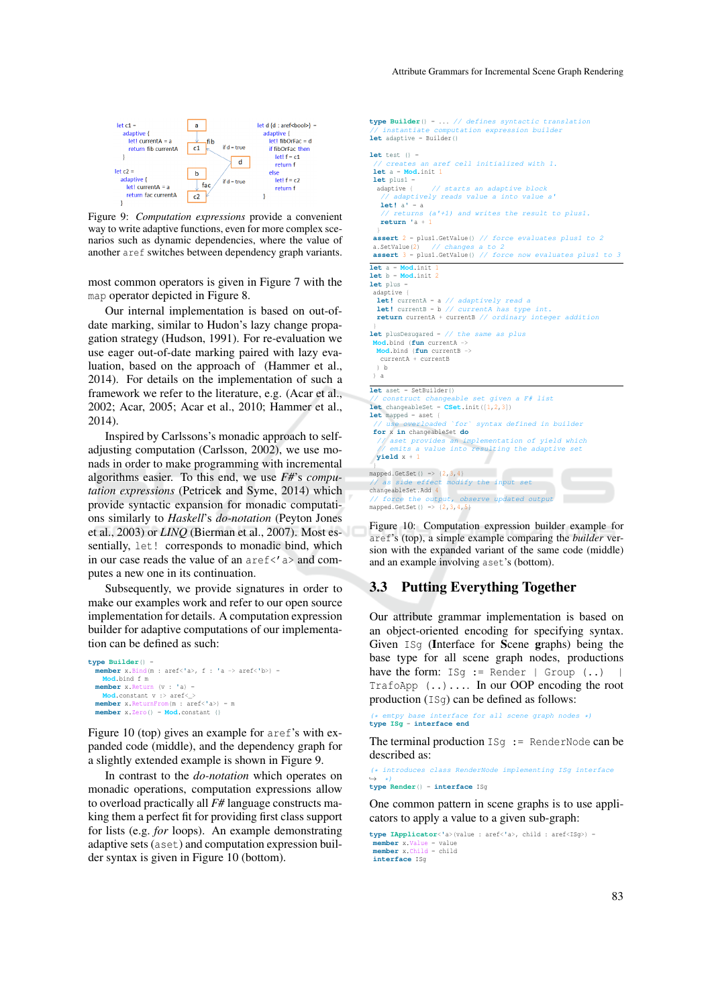**type Builder**() = ... // defines syntactic translation



Figure 9: *Computation expressions* provide a convenient way to write adaptive functions, even for more complex scenarios such as dynamic dependencies, where the value of another aref switches between dependency graph variants.

most common operators is given in Figure 7 with the map operator depicted in Figure 8.

Our internal implementation is based on out-ofdate marking, similar to Hudon's lazy change propagation strategy (Hudson, 1991). For re-evaluation we use eager out-of-date marking paired with lazy evaluation, based on the approach of (Hammer et al., 2014). For details on the implementation of such a framework we refer to the literature, e.g. (Acar et al., 2002; Acar, 2005; Acar et al., 2010; Hammer et al., 2014).

Inspired by Carlssons's monadic approach to selfadjusting computation (Carlsson, 2002), we use monads in order to make programming with incremental algorithms easier. To this end, we use *F#*'s *computation expressions* (Petricek and Syme, 2014) which provide syntactic expansion for monadic computations similarly to *Haskell*'s *do-notation* (Peyton Jones et al., 2003) or *LINQ* (Bierman et al., 2007). Most essentially, let! corresponds to monadic bind, which in our case reads the value of an  $aref \leq' a$  and computes a new one in its continuation.

Subsequently, we provide signatures in order to make our examples work and refer to our open source implementation for details. A computation expression builder for adaptive computations of our implementation can be defined as such:

```
type Builder() =
                  member x.Bind(m : aref<'a>, f : 'a -> aref<'b>) =
    Mod.bind f m
  member x.Return (v : 'a) =
    Mod.constant v :> aref< >
  member x.ReturnFrom(m : aref<'a>) = m
member x.Zero() = Mod.constant ()
```
Figure 10 (top) gives an example for aref's with expanded code (middle), and the dependency graph for a slightly extended example is shown in Figure 9.

In contrast to the *do-notation* which operates on monadic operations, computation expressions allow to overload practically all *F#* language constructs making them a perfect fit for providing first class support for lists (e.g. *for* loops). An example demonstrating adaptive sets (aset) and computation expression builder syntax is given in Figure 10 (bottom).

putation expression builder **let** adaptive = Builder()  $let test() =$ // creates an aref cell initialized with 1. **let** a = **Mod**.init 1 **let** plus1 = adaptive { // starts an adaptive block // adaptively reads value a into value a'<br>**let!**  $a' = a$ **let!** a**'** = a // returns (a'+1) and writes the result to plus1. **return '**a + 1 } **assert** 2 = plus1.GetValue() // force evaluates plus1 to 2 a.SetValue(2) // changes a to 2 **assert** 3 = plus1.GetValue() // force now evaluates plus1 to 3 **let** a = **Mod**.init 1 **let** b = **Mod**.init 2 **let** plus = adaptive { **let!** currentA = a // adaptively read a **let!** currentB = b // currentA has type int. **return** currentA + currentB // ordinary integer addition } **let** plusDesugared = // the same as plus **Mod**.bind (**fun** currentA -> **Mod**.bind (**fun** currentB -> currentA + currentB ) b ) a **let** aset = SetBuilder() .<br>ble set given a F# list **let** changeableSet =  $CSet$ .init $([1,2,3])$ <br>**let** mapped = aset { **let** mapped = aset { // use overloaded `for` syntax defined in builder **for** x **in** changeableSet **do** // aset provides an implementation of yield which // emits a value into resulting the adaptive set **yield** x + 1 } mapped.GetSet() => {2,3,4} // as side effect modify the input set changeableSet.Add 4 // force the output, observe updated output mapped.GetSet() =>  $\{2, 3, 4, 5\}$ 

Figure 10: Computation expression builder example for aref's (top), a simple example comparing the *builder* version with the expanded variant of the same code (middle) and an example involving aset's (bottom).

### 3.3 Putting Everything Together

Our attribute grammar implementation is based on an object-oriented encoding for specifying syntax. Given ISg (Interface for Scene graphs) being the base type for all scene graph nodes, productions have the form:  $ISg := \text{Render} \mid \text{Group} \ (...)$ TrafoApp (..).... In our OOP encoding the root production (ISg) can be defined as follows:

(\* emtpy base interface for all scene graph nodes \*) **type ISg** = **interface end**

The terminal production  $ISq := \text{RenderNode can be}$ described as:

(\* introduces class RenderNode implementing ISg interface ,→ \*) **type Render**() = **interface** ISg

One common pattern in scene graphs is to use applicators to apply a value to a given sub-graph:

**type IApplicator**<**'**a>(value : aref<**'**a>, child : aref<ISg>) = **member** x.Value = value **member** x.Child = child **interface** ISg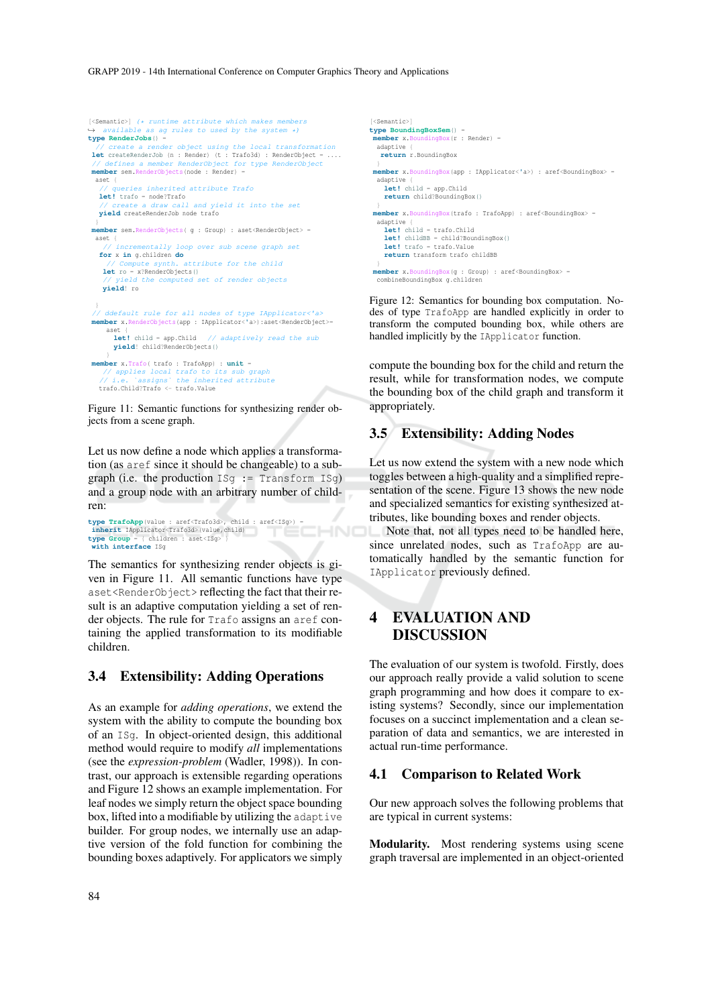```
[<Semantic>] (* runtime attribute which makes members
,→ available as ag rules to used by the system *)
type RenderJobs() =
      create a render object using the local transformation
let createRenderJob (n : Render) (t : Trafo3d) : RenderObject = ....<br>// defines a member RenderObject for type RenderObject
 // defines a member RenderObject for type RenderObject
member sem.RenderObjects(node : Render) =
  aset {
          .<br>eries inherited attribute Trafo
  let! trafo = node?Trafo
                 roue:11a10<br>Waraw call and yield it into the set
  yield createRenderJob node trafo
 }
member sem.RenderObjects( g : Group) : aset<RenderObject> =
 aset {
        .<br>incrementally loop over sub scene graph set
   for x in g.children do
                            attribute for the child
   let ro = x?RenderObjects()
           eld the computed set of render objects
    yield! ro
 }
// ddefault rule for all nodes of type IApplicator<'a>
member x.RenderObjects(app : IApplicator<'a>):aset<RenderObject>=
     aset {
       let! child = app.Child // adaptively read the sub
      yield! child?RenderObjects()
 }
member x.Trafo( trafo : TrafoApp) : unit =
    // applies local trafo to its sub graph
              'assigns` the inherited attribute
  trafo.Child?Trafo <- trafo.Value
```
Figure 11: Semantic functions for synthesizing render objects from a scene graph.

Let us now define a node which applies a transformation (as aref since it should be changeable) to a subgraph (i.e. the production  $ISq := Transform ISq$ ) and a group node with an arbitrary number of children:

**type TrafoApp**(value : aref<Trafo3d>, child : aref<ISg>) = **inherit** IApplicator<Trafo3d>(value,child) **type**  $Group = {$  children :  $asset \leq 1$ Sg> **with interface** ISg

The semantics for synthesizing render objects is given in Figure 11. All semantic functions have type aset<RenderObject> reflecting the fact that their result is an adaptive computation yielding a set of render objects. The rule for Trafo assigns an aref containing the applied transformation to its modifiable children.

#### 3.4 Extensibility: Adding Operations

As an example for *adding operations*, we extend the system with the ability to compute the bounding box of an ISg. In object-oriented design, this additional method would require to modify *all* implementations (see the *expression-problem* (Wadler, 1998)). In contrast, our approach is extensible regarding operations and Figure 12 shows an example implementation. For leaf nodes we simply return the object space bounding box, lifted into a modifiable by utilizing the adaptive builder. For group nodes, we internally use an adaptive version of the fold function for combining the bounding boxes adaptively. For applicators we simply

```
[<Semantic>]
type BoundingBoxSem() =
 member x.BoundingBox(r : Render) =
 adaptive {
   return r.BoundingBox
 }
member x.BoundingBox(app : IApplicator<'a>) : aref<BoundingBox> =
  adaptive {
let! child = app.Child
    return child?BoundingBox()
 }
member x.BoundingBox(trafo : TrafoApp) : aref<BoundingBox> =
  adaptive \cdotlet! child = trafo.Child
    let! childBB = child?BoundingBox()
let! trafo = trafo.Value
    return transform trafo childBB
 }
member x.BoundingBox(g : Group) : aref<BoundingBox> =
  combineBoundingBox g.children
```
Figure 12: Semantics for bounding box computation. Nodes of type TrafoApp are handled explicitly in order to transform the computed bounding box, while others are handled implicitly by the IApplicator function.

compute the bounding box for the child and return the result, while for transformation nodes, we compute the bounding box of the child graph and transform it appropriately.

### 3.5 Extensibility: Adding Nodes

Let us now extend the system with a new node which toggles between a high-quality and a simplified representation of the scene. Figure 13 shows the new node and specialized semantics for existing synthesized attributes, like bounding boxes and render objects.

Note that, not all types need to be handled here, since unrelated nodes, such as TrafoApp are automatically handled by the semantic function for IApplicator previously defined.

# 4 EVALUATION AND DISCUSSION

The evaluation of our system is twofold. Firstly, does our approach really provide a valid solution to scene graph programming and how does it compare to existing systems? Secondly, since our implementation focuses on a succinct implementation and a clean separation of data and semantics, we are interested in actual run-time performance.

### 4.1 Comparison to Related Work

Our new approach solves the following problems that are typical in current systems:

Modularity. Most rendering systems using scene graph traversal are implemented in an object-oriented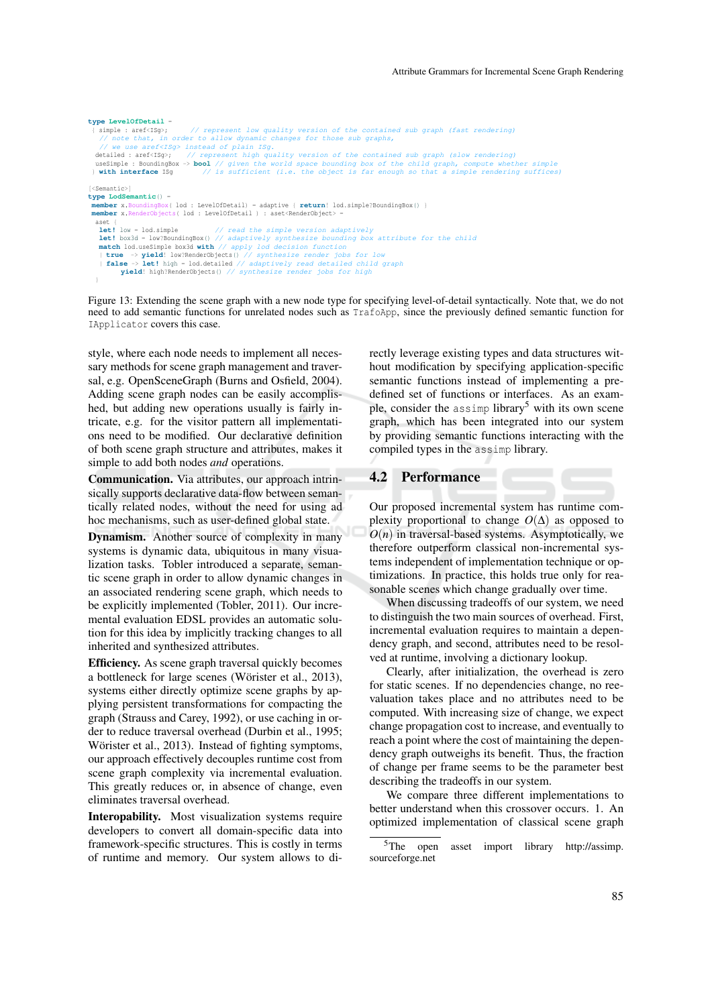```
type LevelOfDetail =
  { simple : aref<ISg>; // represent low quality version of the contained sub graph (fast rendering)
// note that, in order to allow dynamic changes for those sub graphs,
              use aref<ISg> instead of plain ISg.
  detailed : aref<ISq>; // represent high quality version of the contained sub graph (slow rendering)<br>useSimple : BoundingBox -> bool // given the world space bounding box of the child graph, compute whether simple<br>} wit
[<Semantic>]
type LodSemantic() =
      member x.BoundingBox( lod : LevelOfDetail) = adaptive { return! lod.simple?BoundingBox() }
 member x.RenderObjects( lod : LevelOfDetail ) : aset<RenderObject>
    \det I low = lod.simple
     let! low = lod.simple // read the simple version adaptively<br>let! box3d = low?BoundingBox() // adaptively synthesize bounding box attribute for the child<br>match lod.useSimple box3d with // apply lod decision function<br>| t
     | false -> let! high = lod.detailed // adaptively read detailed child graph
yield! high?RenderObjects() // synthesize render jobs for high
```
Figure 13: Extending the scene graph with a new node type for specifying level-of-detail syntactically. Note that, we do not need to add semantic functions for unrelated nodes such as TrafoApp, since the previously defined semantic function for IApplicator covers this case.

style, where each node needs to implement all necessary methods for scene graph management and traversal, e.g. OpenSceneGraph (Burns and Osfield, 2004). Adding scene graph nodes can be easily accomplished, but adding new operations usually is fairly intricate, e.g. for the visitor pattern all implementations need to be modified. Our declarative definition of both scene graph structure and attributes, makes it simple to add both nodes *and* operations.

}

Communication. Via attributes, our approach intrinsically supports declarative data-flow between semantically related nodes, without the need for using ad hoc mechanisms, such as user-defined global state.

Dynamism. Another source of complexity in many systems is dynamic data, ubiquitous in many visualization tasks. Tobler introduced a separate, semantic scene graph in order to allow dynamic changes in an associated rendering scene graph, which needs to be explicitly implemented (Tobler, 2011). Our incremental evaluation EDSL provides an automatic solution for this idea by implicitly tracking changes to all inherited and synthesized attributes.

Efficiency. As scene graph traversal quickly becomes a bottleneck for large scenes (Wörister et al., 2013), systems either directly optimize scene graphs by applying persistent transformations for compacting the graph (Strauss and Carey, 1992), or use caching in order to reduce traversal overhead (Durbin et al., 1995; Wörister et al., 2013). Instead of fighting symptoms, our approach effectively decouples runtime cost from scene graph complexity via incremental evaluation. This greatly reduces or, in absence of change, even eliminates traversal overhead.

Interopability. Most visualization systems require developers to convert all domain-specific data into framework-specific structures. This is costly in terms of runtime and memory. Our system allows to directly leverage existing types and data structures without modification by specifying application-specific semantic functions instead of implementing a predefined set of functions or interfaces. As an example, consider the assimp library<sup>5</sup> with its own scene graph, which has been integrated into our system by providing semantic functions interacting with the compiled types in the assimp library.

#### 4.2 Performance

Our proposed incremental system has runtime complexity proportional to change  $O(\Delta)$  as opposed to  $O(n)$  in traversal-based systems. Asymptotically, we therefore outperform classical non-incremental systems independent of implementation technique or optimizations. In practice, this holds true only for reasonable scenes which change gradually over time.

When discussing tradeoffs of our system, we need to distinguish the two main sources of overhead. First, incremental evaluation requires to maintain a dependency graph, and second, attributes need to be resolved at runtime, involving a dictionary lookup.

Clearly, after initialization, the overhead is zero for static scenes. If no dependencies change, no reevaluation takes place and no attributes need to be computed. With increasing size of change, we expect change propagation cost to increase, and eventually to reach a point where the cost of maintaining the dependency graph outweighs its benefit. Thus, the fraction of change per frame seems to be the parameter best describing the tradeoffs in our system.

We compare three different implementations to better understand when this crossover occurs. 1. An optimized implementation of classical scene graph

<sup>5</sup>The open asset import library http://assimp. sourceforge.net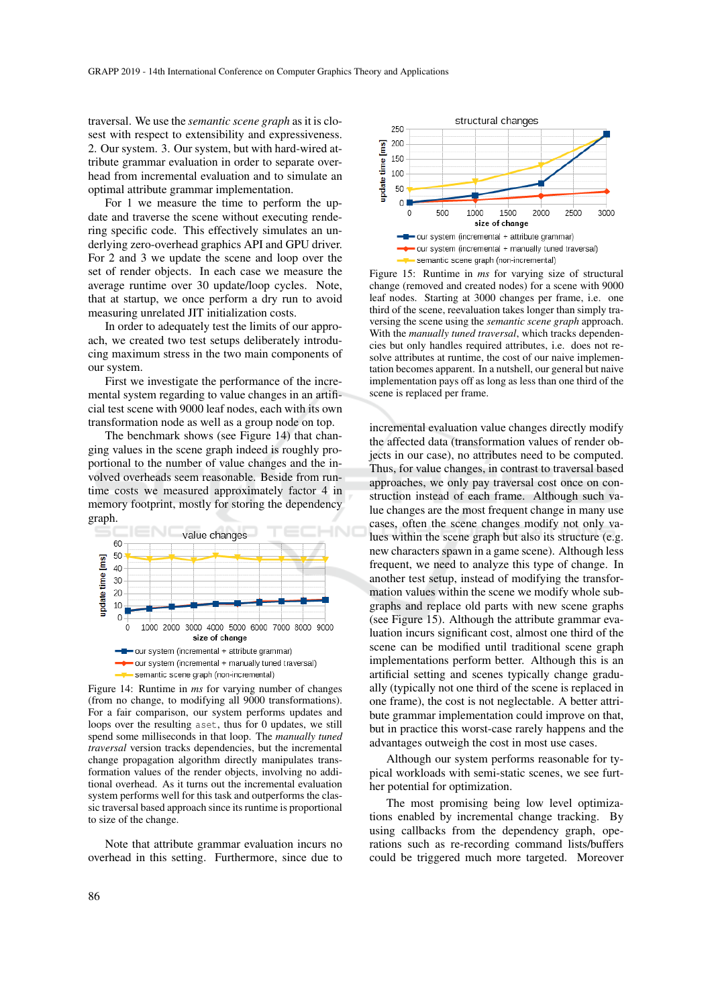traversal. We use the *semantic scene graph* as it is closest with respect to extensibility and expressiveness. 2. Our system. 3. Our system, but with hard-wired attribute grammar evaluation in order to separate overhead from incremental evaluation and to simulate an optimal attribute grammar implementation.

For 1 we measure the time to perform the update and traverse the scene without executing rendering specific code. This effectively simulates an underlying zero-overhead graphics API and GPU driver. For 2 and 3 we update the scene and loop over the set of render objects. In each case we measure the average runtime over 30 update/loop cycles. Note, that at startup, we once perform a dry run to avoid measuring unrelated JIT initialization costs.

In order to adequately test the limits of our approach, we created two test setups deliberately introducing maximum stress in the two main components of our system.

First we investigate the performance of the incremental system regarding to value changes in an artificial test scene with 9000 leaf nodes, each with its own transformation node as well as a group node on top.

The benchmark shows (see Figure 14) that changing values in the scene graph indeed is roughly proportional to the number of value changes and the involved overheads seem reasonable. Beside from runtime costs we measured approximately factor 4 in memory footprint, mostly for storing the dependency graph.



Figure 14: Runtime in *ms* for varying number of changes (from no change, to modifying all 9000 transformations). For a fair comparison, our system performs updates and loops over the resulting aset, thus for 0 updates, we still spend some milliseconds in that loop. The *manually tuned traversal* version tracks dependencies, but the incremental change propagation algorithm directly manipulates transformation values of the render objects, involving no additional overhead. As it turns out the incremental evaluation system performs well for this task and outperforms the classic traversal based approach since its runtime is proportional to size of the change.

Note that attribute grammar evaluation incurs no overhead in this setting. Furthermore, since due to



Figure 15: Runtime in *ms* for varying size of structural change (removed and created nodes) for a scene with 9000 leaf nodes. Starting at 3000 changes per frame, i.e. one third of the scene, reevaluation takes longer than simply traversing the scene using the *semantic scene graph* approach. With the *manually tuned traversal*, which tracks dependencies but only handles required attributes, i.e. does not resolve attributes at runtime, the cost of our naive implementation becomes apparent. In a nutshell, our general but naive implementation pays off as long as less than one third of the scene is replaced per frame.

incremental evaluation value changes directly modify the affected data (transformation values of render objects in our case), no attributes need to be computed. Thus, for value changes, in contrast to traversal based approaches, we only pay traversal cost once on construction instead of each frame. Although such value changes are the most frequent change in many use cases, often the scene changes modify not only values within the scene graph but also its structure (e.g. new characters spawn in a game scene). Although less frequent, we need to analyze this type of change. In another test setup, instead of modifying the transformation values within the scene we modify whole subgraphs and replace old parts with new scene graphs (see Figure 15). Although the attribute grammar evaluation incurs significant cost, almost one third of the scene can be modified until traditional scene graph implementations perform better. Although this is an artificial setting and scenes typically change gradually (typically not one third of the scene is replaced in one frame), the cost is not neglectable. A better attribute grammar implementation could improve on that, but in practice this worst-case rarely happens and the advantages outweigh the cost in most use cases.

Although our system performs reasonable for typical workloads with semi-static scenes, we see further potential for optimization.

The most promising being low level optimizations enabled by incremental change tracking. By using callbacks from the dependency graph, operations such as re-recording command lists/buffers could be triggered much more targeted. Moreover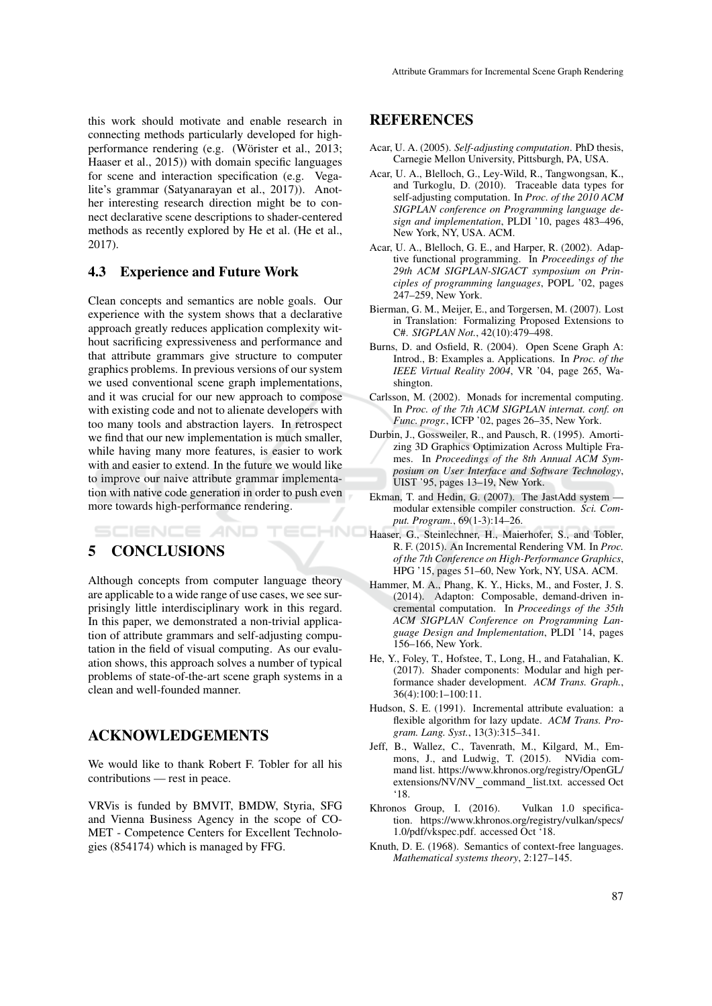this work should motivate and enable research in connecting methods particularly developed for highperformance rendering (e.g. (Wörister et al., 2013; Haaser et al., 2015)) with domain specific languages for scene and interaction specification (e.g. Vegalite's grammar (Satyanarayan et al., 2017)). Another interesting research direction might be to connect declarative scene descriptions to shader-centered methods as recently explored by He et al. (He et al., 2017).

### 4.3 Experience and Future Work

Clean concepts and semantics are noble goals. Our experience with the system shows that a declarative approach greatly reduces application complexity without sacrificing expressiveness and performance and that attribute grammars give structure to computer graphics problems. In previous versions of our system we used conventional scene graph implementations, and it was crucial for our new approach to compose with existing code and not to alienate developers with too many tools and abstraction layers. In retrospect we find that our new implementation is much smaller, while having many more features, is easier to work with and easier to extend. In the future we would like to improve our naive attribute grammar implementation with native code generation in order to push even more towards high-performance rendering.

SCIENCE *A*ND

# 5 CONCLUSIONS

Although concepts from computer language theory are applicable to a wide range of use cases, we see surprisingly little interdisciplinary work in this regard. In this paper, we demonstrated a non-trivial application of attribute grammars and self-adjusting computation in the field of visual computing. As our evaluation shows, this approach solves a number of typical problems of state-of-the-art scene graph systems in a clean and well-founded manner.

'ECHN(

### ACKNOWLEDGEMENTS

We would like to thank Robert F. Tobler for all his contributions — rest in peace.

VRVis is funded by BMVIT, BMDW, Styria, SFG and Vienna Business Agency in the scope of CO-MET - Competence Centers for Excellent Technologies (854174) which is managed by FFG.

# REFERENCES

- Acar, U. A. (2005). *Self-adjusting computation*. PhD thesis, Carnegie Mellon University, Pittsburgh, PA, USA.
- Acar, U. A., Blelloch, G., Ley-Wild, R., Tangwongsan, K., and Turkoglu, D. (2010). Traceable data types for self-adjusting computation. In *Proc. of the 2010 ACM SIGPLAN conference on Programming language design and implementation*, PLDI '10, pages 483–496, New York, NY, USA. ACM.
- Acar, U. A., Blelloch, G. E., and Harper, R. (2002). Adaptive functional programming. In *Proceedings of the 29th ACM SIGPLAN-SIGACT symposium on Principles of programming languages*, POPL '02, pages 247–259, New York.
- Bierman, G. M., Meijer, E., and Torgersen, M. (2007). Lost in Translation: Formalizing Proposed Extensions to C#. *SIGPLAN Not.*, 42(10):479–498.
- Burns, D. and Osfield, R. (2004). Open Scene Graph A: Introd., B: Examples a. Applications. In *Proc. of the IEEE Virtual Reality 2004*, VR '04, page 265, Washington.
- Carlsson, M. (2002). Monads for incremental computing. In *Proc. of the 7th ACM SIGPLAN internat. conf. on Func. progr.*, ICFP '02, pages 26–35, New York.
- Durbin, J., Gossweiler, R., and Pausch, R. (1995). Amortizing 3D Graphics Optimization Across Multiple Frames. In *Proceedings of the 8th Annual ACM Symposium on User Interface and Software Technology*, UIST '95, pages 13–19, New York.
- Ekman, T. and Hedin, G. (2007). The JastAdd system modular extensible compiler construction. *Sci. Comput. Program.*, 69(1-3):14–26.
- Haaser, G., Steinlechner, H., Maierhofer, S., and Tobler, R. F. (2015). An Incremental Rendering VM. In *Proc. of the 7th Conference on High-Performance Graphics*, HPG '15, pages 51–60, New York, NY, USA. ACM.
- Hammer, M. A., Phang, K. Y., Hicks, M., and Foster, J. S. (2014). Adapton: Composable, demand-driven incremental computation. In *Proceedings of the 35th ACM SIGPLAN Conference on Programming Language Design and Implementation*, PLDI '14, pages 156–166, New York.
- He, Y., Foley, T., Hofstee, T., Long, H., and Fatahalian, K. (2017). Shader components: Modular and high performance shader development. *ACM Trans. Graph.*, 36(4):100:1–100:11.
- Hudson, S. E. (1991). Incremental attribute evaluation: a flexible algorithm for lazy update. *ACM Trans. Program. Lang. Syst.*, 13(3):315–341.
- Jeff, B., Wallez, C., Tavenrath, M., Kilgard, M., Emmons, J., and Ludwig, T. (2015). NVidia command list. https://www.khronos.org/registry/OpenGL/ extensions/NV/NV command list.txt. accessed Oct '18.
- Khronos Group, I. (2016). Vulkan 1.0 specification. https://www.khronos.org/registry/vulkan/specs/ 1.0/pdf/vkspec.pdf. accessed Oct '18.
- Knuth, D. E. (1968). Semantics of context-free languages. *Mathematical systems theory*, 2:127–145.